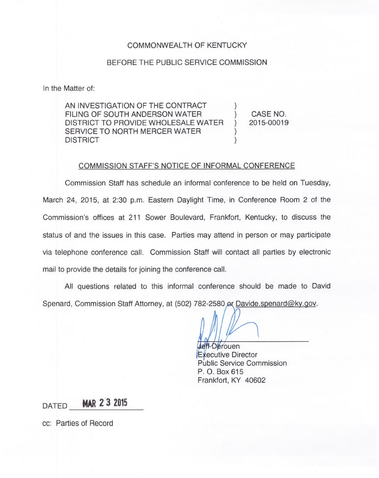## COMMONWEALTH OF KENTUCKY

## BEFORE THE PUBLIC SERVICE COMMISSION

In the Matter of:

AN INVESTIGATION OF THE CONTRACT FILING OF SOUTH ANDERSON WATER DISTRICT TO PROVIDE WHOLESALE WATER SERVICE TO NORTH MERCER WATER **DISTRICT** CASE NO. 2015-00019

## COMMISSION STAFF'S NOTICE OF INFORMAL CONFERENCE

Commission Staff has schedule an informal conference to be held on Tuesday, March 24, 2015, at 2:30 p.m. Eastern Daylight Time, in Conference Room 2 of the Commission's offices at 211 Sower Boulevard, Frankfort, Kentucky, to discuss the status of and the issues in this case. Parties may attend in person or may participate via telephone conference call. Commission Staff will contact all parties by electronic mail to provide the details for joining the conference call.

All questions related to this informal conference should be made to David Spenard, Commission Staff Attorney, at (502) 782-2580 or Davide.spenard@ky.gov.

**Jeff**-Derouen Executive Director Public Service Commission P. O. Box 615 Frankfort, KY 40602

DATED **MAR 2 3 2015** 

cc: Parties of Record